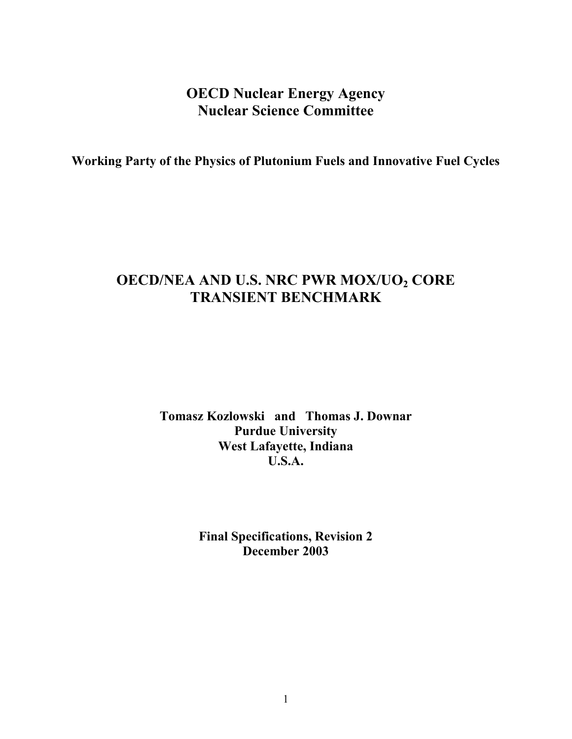## **OECD Nuclear Energy Agency Nuclear Science Committee**

**Working Party of the Physics of Plutonium Fuels and Innovative Fuel Cycles** 

# **OECD/NEA AND U.S. NRC PWR MOX/UO2 CORE TRANSIENT BENCHMARK**

**Tomasz Kozlowski and Thomas J. Downar Purdue University West Lafayette, Indiana U.S.A.** 

> **Final Specifications, Revision 2 December 2003**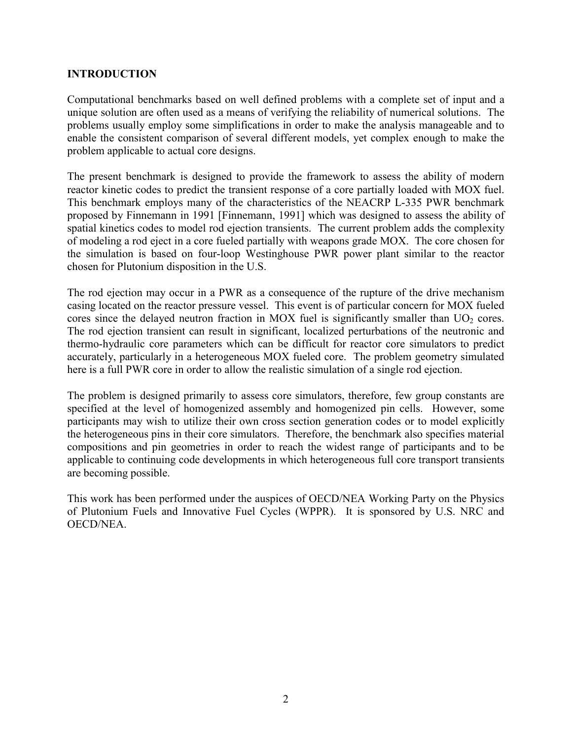### **INTRODUCTION**

Computational benchmarks based on well defined problems with a complete set of input and a unique solution are often used as a means of verifying the reliability of numerical solutions. The problems usually employ some simplifications in order to make the analysis manageable and to enable the consistent comparison of several different models, yet complex enough to make the problem applicable to actual core designs.

The present benchmark is designed to provide the framework to assess the ability of modern reactor kinetic codes to predict the transient response of a core partially loaded with MOX fuel. This benchmark employs many of the characteristics of the NEACRP L-335 PWR benchmark proposed by Finnemann in 1991 [Finnemann, 1991] which was designed to assess the ability of spatial kinetics codes to model rod ejection transients. The current problem adds the complexity of modeling a rod eject in a core fueled partially with weapons grade MOX. The core chosen for the simulation is based on four-loop Westinghouse PWR power plant similar to the reactor chosen for Plutonium disposition in the U.S.

The rod ejection may occur in a PWR as a consequence of the rupture of the drive mechanism casing located on the reactor pressure vessel. This event is of particular concern for MOX fueled cores since the delayed neutron fraction in MOX fuel is significantly smaller than  $UO<sub>2</sub>$  cores. The rod ejection transient can result in significant, localized perturbations of the neutronic and thermo-hydraulic core parameters which can be difficult for reactor core simulators to predict accurately, particularly in a heterogeneous MOX fueled core. The problem geometry simulated here is a full PWR core in order to allow the realistic simulation of a single rod ejection.

The problem is designed primarily to assess core simulators, therefore, few group constants are specified at the level of homogenized assembly and homogenized pin cells. However, some participants may wish to utilize their own cross section generation codes or to model explicitly the heterogeneous pins in their core simulators. Therefore, the benchmark also specifies material compositions and pin geometries in order to reach the widest range of participants and to be applicable to continuing code developments in which heterogeneous full core transport transients are becoming possible.

This work has been performed under the auspices of OECD/NEA Working Party on the Physics of Plutonium Fuels and Innovative Fuel Cycles (WPPR). It is sponsored by U.S. NRC and OECD/NEA.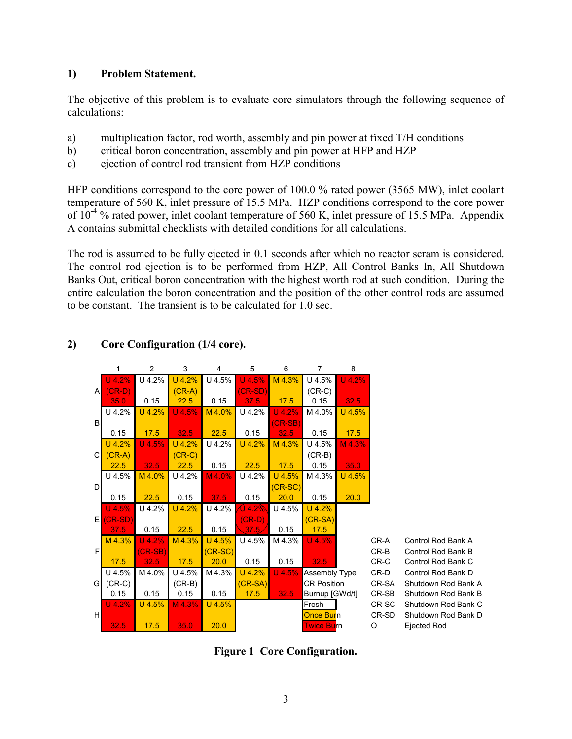### **1) Problem Statement.**

The objective of this problem is to evaluate core simulators through the following sequence of calculations:

- a) multiplication factor, rod worth, assembly and pin power at fixed T/H conditions
- b) critical boron concentration, assembly and pin power at HFP and HZP
- c) ejection of control rod transient from HZP conditions

HFP conditions correspond to the core power of 100.0 % rated power (3565 MW), inlet coolant temperature of 560 K, inlet pressure of 15.5 MPa. HZP conditions correspond to the core power of 10-4 % rated power, inlet coolant temperature of 560 K, inlet pressure of 15.5 MPa. Appendix A contains submittal checklists with detailed conditions for all calculations.

The rod is assumed to be fully ejected in 0.1 seconds after which no reactor scram is considered. The control rod ejection is to be performed from HZP, All Control Banks In, All Shutdown Banks Out, critical boron concentration with the highest worth rod at such condition. During the entire calculation the boron concentration and the position of the other control rods are assumed to be constant. The transient is to be calculated for 1.0 sec.

|              | 1                 | $\overline{2}$ | 3        | $\overline{4}$ | 5                 | 6         | 7                    | 8        |        |                     |
|--------------|-------------------|----------------|----------|----------------|-------------------|-----------|----------------------|----------|--------|---------------------|
|              | U 4.2%            | U 4.2%         | U 4.2%   | U 4.5%         | U 4.5%            | M 4.3%    | U 4.5%               | U 4.2%   |        |                     |
| $\mathsf{A}$ | $(CR-D)$          |                | $(CR-A)$ |                | (CR-SD)           |           | $(CR-C)$             |          |        |                     |
|              | 35.0              | 0.15           | 22.5     | 0.15           | 37.5              | 17.5      | 0.15                 | 32.5     |        |                     |
|              | U 4.2%            | $U$ 4.2%       | $U$ 4.5% | M 4.0%         | U 4.2%            | $U$ 4.2%  | M 4.0%               | $U$ 4.5% |        |                     |
| B            |                   |                |          |                |                   | $(CR-SB)$ |                      |          |        |                     |
|              | 0.15              | 17.5           | 32.5     | 22.5           | 0.15              | 32.5      | 0.15                 | 17.5     |        |                     |
|              | U 4.2%            | $U$ 4.5%       | U 4.2%   | U 4.2%         | U 4.2%            | M 4.3%    | U 4.5%               | $M$ 4.3% |        |                     |
| $\mathsf{C}$ | $(CR-A)$          |                | $(CR-C)$ |                |                   |           | $(CR-B)$             |          |        |                     |
|              | 22.5              | 32.5           | 22.5     | 0.15           | 22.5              | 17.5      | 0.15                 | 35.0     |        |                     |
|              | U 4.5%            | M 4.0%         | U 4.2%   | M 4.0%         | U 4.2%            | $U$ 4.5%  | M 4.3%               | $U$ 4.5% |        |                     |
| D            |                   |                |          |                |                   | $(CR-SC)$ |                      |          |        |                     |
|              | 0.15              | 22.5           | 0.15     | 37.5           | 0.15              | 20.0      | 0.15                 | 20.0     |        |                     |
|              | $U$ 4.5%          | U 4.2%         | U 4.2%   | U 4.2%         | $0$ 4.2 $\%$      | U 4.5%    | $U$ 4.2%             |          |        |                     |
| EI           | $(CR-SD)$<br>37.5 | 0.15           | 22.5     | 0.15           | $(CR-D)$<br>37.5/ | 0.15      | $(CR-SA)$<br>17.5    |          |        |                     |
|              | M 4.3%            | $U$ 4.2%       | M 4.3%   | U 4.5%         | U 4.5%            | M 4.3%    | $U$ 4.5%             |          | CR-A   | Control Rod Bank A  |
| F            |                   | $(CR-SB)$      |          | $(CR-SC)$      |                   |           |                      |          | $CR-B$ | Control Rod Bank B  |
|              | 17.5              | 32.5           | 17.5     | 20.0           | 0.15              | 0.15      | 32.5                 |          | CR-C   | Control Rod Bank C  |
|              | U 4.5%            | M 4.0%         | U 4.5%   | M 4.3%         | U 4.2%            | $U$ 4.5%  | <b>Assembly Type</b> |          | CR-D   | Control Rod Bank D  |
| G            | $(CR-C)$          |                | (CR-B)   |                | $(CR-SA)$         |           | <b>CR Position</b>   |          | CR-SA  | Shutdown Rod Bank A |
|              | 0.15              | 0.15           | 0.15     | 0.15           | 17.5              | 32.5      | Burnup [GWd/t]       |          | CR-SB  | Shutdown Rod Bank B |
|              | $U$ 4.2%          | $U$ 4.5%       | M 4.3%   | $U$ 4.5%       |                   |           | Fresh                |          | CR-SC  | Shutdown Rod Bank C |
| H            |                   |                |          |                |                   |           | <b>Once Burn</b>     |          | CR-SD  | Shutdown Rod Bank D |
|              | 32.5              | 17.5           | 35.0     | 20.0           |                   |           | <b>Twice Burn</b>    |          | O      | Ejected Rod         |

### **2) Core Configuration (1/4 core).**

**Figure 1 Core Configuration.**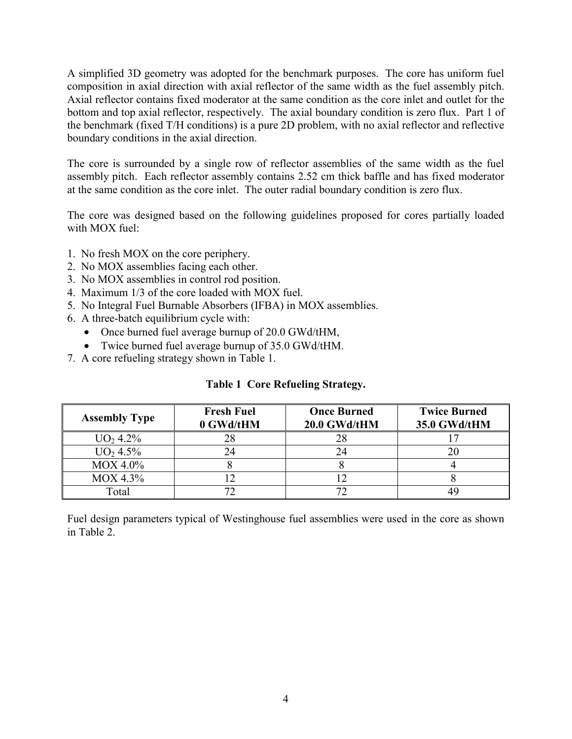A simplified 3D geometry was adopted for the benchmark purposes. The core has uniform fuel composition in axial direction with axial reflector of the same width as the fuel assembly pitch. Axial reflector contains fixed moderator at the same condition as the core inlet and outlet for the bottom and top axial reflector, respectively. The axial boundary condition is zero flux. Part 1 of the benchmark (fixed T/H conditions) is a pure 2D problem, with no axial reflector and reflective boundary conditions in the axial direction.

The core is surrounded by a single row of reflector assemblies of the same width as the fuel assembly pitch. Each reflector assembly contains 2.52 cm thick baffle and has fixed moderator at the same condition as the core inlet. The outer radial boundary condition is zero flux.

The core was designed based on the following guidelines proposed for cores partially loaded with MOX fuel:

- 1. No fresh MOX on the core periphery.
- 2. No MOX assemblies facing each other.
- 3. No MOX assemblies in control rod position.
- 4. Maximum 1/3 of the core loaded with MOX fuel.
- 5. No Integral Fuel Burnable Absorbers (IFBA) in MOX assemblies.
- 6. A three-batch equilibrium cycle with:
	- Once burned fuel average burnup of 20.0 GWd/tHM,
	- Twice burned fuel average burnup of 35.0 GWd/tHM.
- 7. A core refueling strategy shown in Table 1.

#### **Table 1 Core Refueling Strategy.**

| <b>Assembly Type</b> | <b>Fresh Fuel</b><br>0 GWd/tHM | <b>Once Burned</b><br>20.0 GWd/tHM | <b>Twice Burned</b><br>35.0 GWd/tHM |
|----------------------|--------------------------------|------------------------------------|-------------------------------------|
| UO <sub>2</sub> 4.2% | 28                             | 28                                 |                                     |
| UO <sub>2</sub> 4.5% | 24                             | 24                                 |                                     |
| $MOX 4.0\%$          |                                |                                    |                                     |
| $MOX$ 4.3%           |                                |                                    |                                     |
| Total                |                                |                                    |                                     |

Fuel design parameters typical of Westinghouse fuel assemblies were used in the core as shown in Table 2.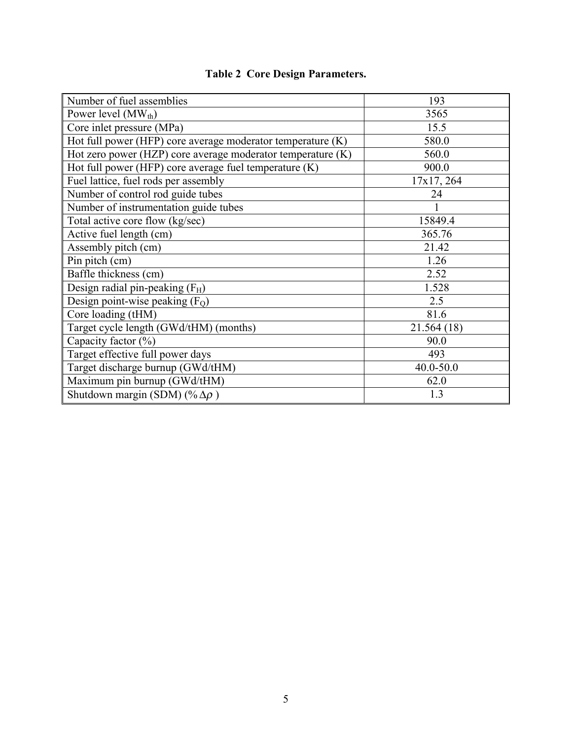| Number of fuel assemblies                                   | 193           |
|-------------------------------------------------------------|---------------|
| Power level $(MW_{th})$                                     | 3565          |
| Core inlet pressure (MPa)                                   | 15.5          |
| Hot full power (HFP) core average moderator temperature (K) | 580.0         |
| Hot zero power (HZP) core average moderator temperature (K) | 560.0         |
| Hot full power (HFP) core average fuel temperature $(K)$    | 900.0         |
| Fuel lattice, fuel rods per assembly                        | 17x17, 264    |
| Number of control rod guide tubes                           | 24            |
| Number of instrumentation guide tubes                       |               |
| Total active core flow (kg/sec)                             | 15849.4       |
| Active fuel length (cm)                                     | 365.76        |
| Assembly pitch (cm)                                         | 21.42         |
| Pin pitch (cm)                                              | 1.26          |
| Baffle thickness (cm)                                       | 2.52          |
| Design radial pin-peaking $(F_H)$                           | 1.528         |
| Design point-wise peaking $(FO)$                            | 2.5           |
| Core loading (tHM)                                          | 81.6          |
| Target cycle length (GWd/tHM) (months)                      | 21.564 (18)   |
| Capacity factor $(\% )$                                     | 90.0          |
| Target effective full power days                            | 493           |
| Target discharge burnup (GWd/tHM)                           | $40.0 - 50.0$ |
| Maximum pin burnup (GWd/tHM)                                | 62.0          |
| Shutdown margin (SDM) (% $\Delta \rho$ )                    | 1.3           |

## **Table 2 Core Design Parameters.**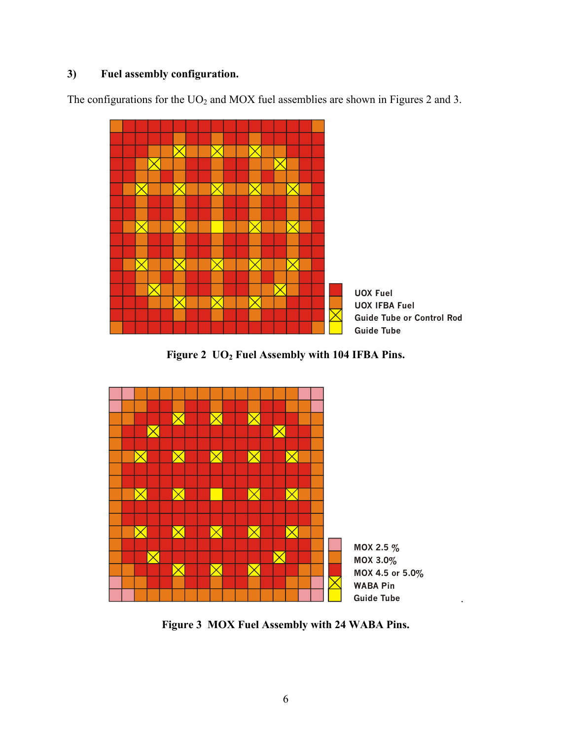### **3) Fuel assembly configuration.**

The configurations for the  $UO<sub>2</sub>$  and MOX fuel assemblies are shown in Figures 2 and 3.



Figure 2 UO<sub>2</sub> Fuel Assembly with 104 IFBA Pins.



**Figure 3 MOX Fuel Assembly with 24 WABA Pins.**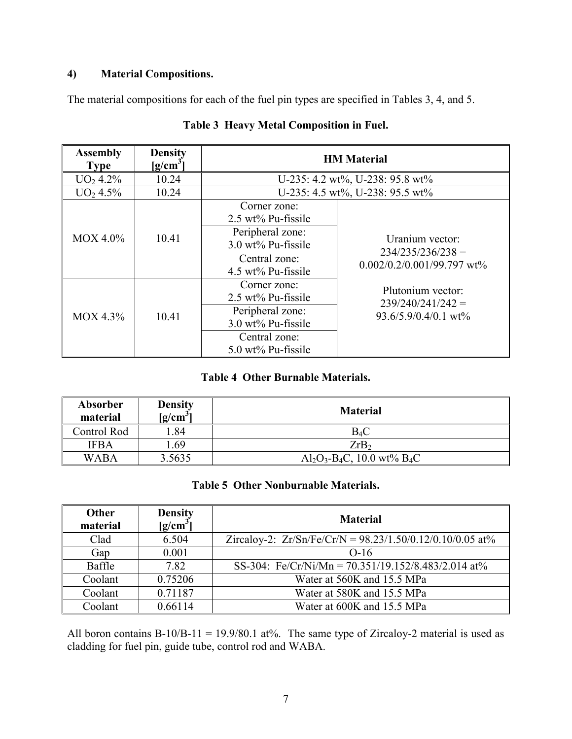### **4) Material Compositions.**

The material compositions for each of the fuel pin types are specified in Tables 3, 4, and 5.

| <b>Assembly</b><br><b>Type</b> | <b>Density</b><br>$[g/cm^3]$ |                                                                                                                                | <b>HM Material</b>                                                     |  |  |  |
|--------------------------------|------------------------------|--------------------------------------------------------------------------------------------------------------------------------|------------------------------------------------------------------------|--|--|--|
| UO <sub>2</sub> 4.2%           | 10.24                        |                                                                                                                                | U-235: 4.2 wt%, U-238: 95.8 wt%                                        |  |  |  |
| UO <sub>2</sub> 4.5%           | 10.24                        |                                                                                                                                | U-235: 4.5 wt%, U-238: 95.5 wt%                                        |  |  |  |
| $MOX$ 4.0%                     | 10.41                        | Corner zone:<br>2.5 wt% Pu-fissile<br>Peripheral zone:<br>$3.0 \text{ wt}$ % Pu-fissile<br>Central zone:<br>4.5 wt% Pu-fissile | Uranium vector:<br>$234/235/236/238 =$<br>$0.002/0.2/0.001/99.797$ wt% |  |  |  |
| $MOX$ 4.3%                     | 10.41                        | Corner zone:<br>2.5 wt% Pu-fissile<br>Peripheral zone:<br>3.0 wt% Pu-fissile<br>Central zone:<br>$5.0 \text{ wt}$ % Pu-fissile | Plutonium vector:<br>$239/240/241/242 =$<br>$93.6/5.9/0.4/0.1$ wt%     |  |  |  |

### **Table 3 Heavy Metal Composition in Fuel.**

### **Table 4 Other Burnable Materials.**

| Absorber<br>material | <b>Density</b><br>$[g/cm^3]$ | <b>Material</b>                            |
|----------------------|------------------------------|--------------------------------------------|
| Control Rod          | .84                          | $B_4C$                                     |
| <b>IFBA</b>          | l.69                         | ZrB <sub>2</sub>                           |
| <b>WABA</b>          | 3.5635                       | $Al_2O_3-B_4C$ , 10.0 wt% B <sub>4</sub> C |

### **Table 5 Other Nonburnable Materials.**

| Other<br>material | <b>Density</b><br>$[g/cm^{3}]$ | <b>Material</b>                                             |
|-------------------|--------------------------------|-------------------------------------------------------------|
| Clad              | 6.504                          | Zircaloy-2: $Zr/Sn/Fe/Cr/N = 98.23/1.50/0.12/0.10/0.05$ at% |
| Gap               | 0.001                          | $O-16$                                                      |
| Baffle            | 7.82                           | SS-304: Fe/Cr/Ni/Mn = $70.351/19.152/8.483/2.014$ at%       |
| Coolant           | 0.75206                        | Water at 560K and 15.5 MPa                                  |
| Coolant           | 0.71187                        | Water at 580K and 15.5 MPa                                  |
| Coolant           | 0.66114                        | Water at 600K and 15.5 MPa                                  |

All boron contains B-10/B-11 = 19.9/80.1 at%. The same type of Zircaloy-2 material is used as cladding for fuel pin, guide tube, control rod and WABA.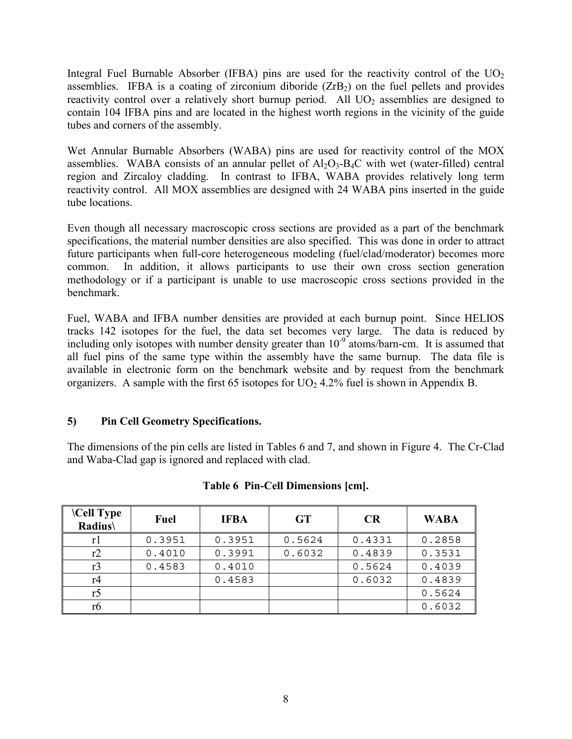Integral Fuel Burnable Absorber (IFBA) pins are used for the reactivity control of the  $UO<sub>2</sub>$ assemblies. IFBA is a coating of zirconium diboride  $(ZrB<sub>2</sub>)$  on the fuel pellets and provides reactivity control over a relatively short burnup period. All  $UO<sub>2</sub>$  assemblies are designed to contain 104 IFBA pins and are located in the highest worth regions in the vicinity of the guide tubes and corners of the assembly.

Wet Annular Burnable Absorbers (WABA) pins are used for reactivity control of the MOX assemblies. WABA consists of an annular pellet of  $Al_2O_3-B_4C$  with wet (water-filled) central region and Zircaloy cladding. In contrast to IFBA, WABA provides relatively long term reactivity control. All MOX assemblies are designed with 24 WABA pins inserted in the guide tube locations.

Even though all necessary macroscopic cross sections are provided as a part of the benchmark specifications, the material number densities are also specified. This was done in order to attract future participants when full-core heterogeneous modeling (fuel/clad/moderator) becomes more common. In addition, it allows participants to use their own cross section generation methodology or if a participant is unable to use macroscopic cross sections provided in the benchmark.

Fuel, WABA and IFBA number densities are provided at each burnup point. Since HELIOS tracks 142 isotopes for the fuel, the data set becomes very large. The data is reduced by including only isotopes with number density greater than  $10^{-9}$  atoms/barn-cm. It is assumed that all fuel pins of the same type within the assembly have the same burnup. The data file is available in electronic form on the benchmark website and by request from the benchmark organizers. A sample with the first 65 isotopes for  $UO<sub>2</sub> 4.2%$  fuel is shown in Appendix B.

### **5) Pin Cell Geometry Specifications.**

The dimensions of the pin cells are listed in Tables 6 and 7, and shown in Figure 4. The Cr-Clad and Waba-Clad gap is ignored and replaced with clad.

| <b>\Cell Type</b><br><b>Radius\</b> | Fuel   | <b>IFBA</b> | <b>GT</b> | <b>CR</b> | <b>WABA</b> |
|-------------------------------------|--------|-------------|-----------|-----------|-------------|
| rl                                  | 0.3951 | 0.3951      | 0.5624    | 0.4331    | 0.2858      |
| r2                                  | 0.4010 | 0.3991      | 0.6032    | 0.4839    | 0.3531      |
| r3                                  | 0.4583 | 0.4010      |           | 0.5624    | 0.4039      |
| r4                                  |        | 0.4583      |           | 0.6032    | 0.4839      |
| r5                                  |        |             |           |           | 0.5624      |
| r6                                  |        |             |           |           | 0.6032      |

#### **Table 6 Pin-Cell Dimensions [cm].**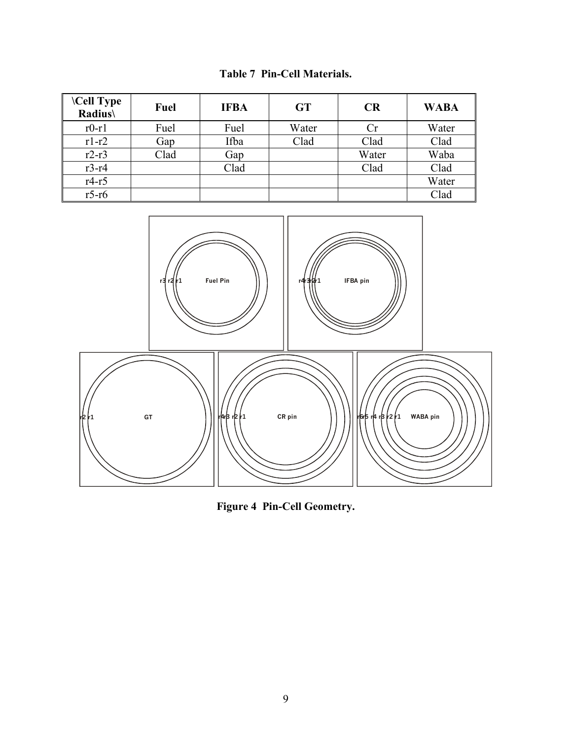| <b>\Cell Type</b><br>Radius\ | <b>Fuel</b> | <b>IFBA</b> | <b>GT</b> | <b>CR</b> | <b>WABA</b> |
|------------------------------|-------------|-------------|-----------|-----------|-------------|
| $r0-r1$                      | Fuel        | Fuel        | Water     | Cr        | Water       |
| $r1-r2$                      | Gap         | Ifba        | Clad      | Clad      | Clad        |
| $r2-r3$                      | Clad        | Gap         |           | Water     | Waba        |
| $r3-r4$                      |             | Clad        |           | Clad      | Clad        |
| $r4-r5$                      |             |             |           |           | Water       |
| $r5-r6$                      |             |             |           |           | Clad        |



**Figure 4 Pin-Cell Geometry.**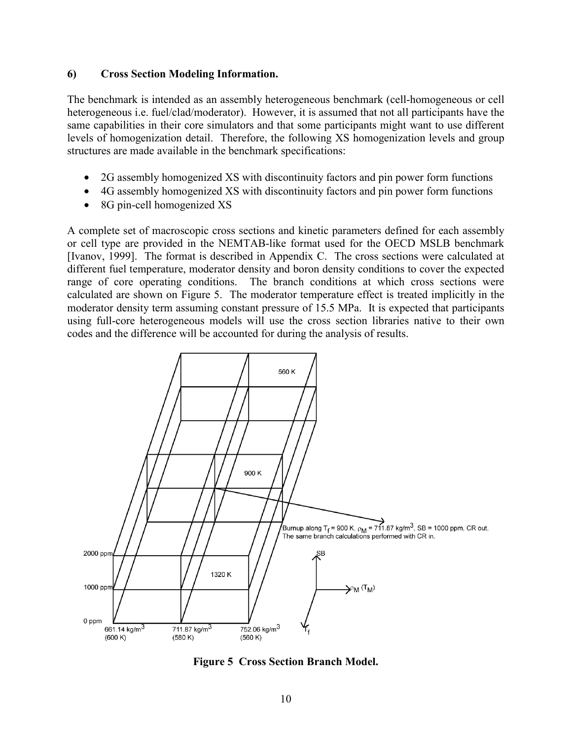#### **6) Cross Section Modeling Information.**

The benchmark is intended as an assembly heterogeneous benchmark (cell-homogeneous or cell heterogeneous i.e. fuel/clad/moderator). However, it is assumed that not all participants have the same capabilities in their core simulators and that some participants might want to use different levels of homogenization detail. Therefore, the following XS homogenization levels and group structures are made available in the benchmark specifications:

- 2G assembly homogenized XS with discontinuity factors and pin power form functions
- 4G assembly homogenized XS with discontinuity factors and pin power form functions
- 8G pin-cell homogenized XS

A complete set of macroscopic cross sections and kinetic parameters defined for each assembly or cell type are provided in the NEMTAB-like format used for the OECD MSLB benchmark [Ivanov, 1999]. The format is described in Appendix C. The cross sections were calculated at different fuel temperature, moderator density and boron density conditions to cover the expected range of core operating conditions. The branch conditions at which cross sections were calculated are shown on Figure 5. The moderator temperature effect is treated implicitly in the moderator density term assuming constant pressure of 15.5 MPa. It is expected that participants using full-core heterogeneous models will use the cross section libraries native to their own codes and the difference will be accounted for during the analysis of results.



**Figure 5 Cross Section Branch Model.**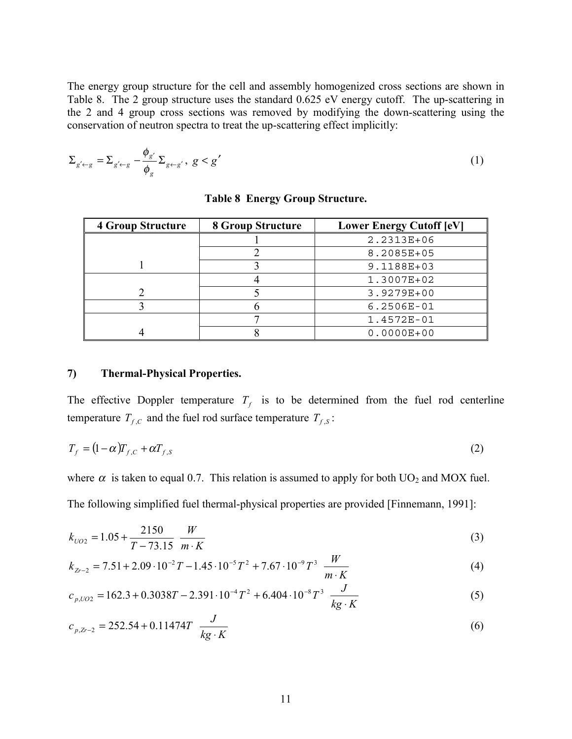The energy group structure for the cell and assembly homogenized cross sections are shown in Table 8. The 2 group structure uses the standard 0.625 eV energy cutoff. The up-scattering in the 2 and 4 group cross sections was removed by modifying the down-scattering using the conservation of neutron spectra to treat the up-scattering effect implicitly:

$$
\Sigma_{g' \leftarrow g} = \Sigma_{g' \leftarrow g} - \frac{\phi_{g'}}{\phi_g} \Sigma_{g \leftarrow g'}, \ g < g' \tag{1}
$$

| <b>4 Group Structure</b> | <b>8 Group Structure</b> | <b>Lower Energy Cutoff [eV]</b> |
|--------------------------|--------------------------|---------------------------------|
|                          |                          | 2.2313E+06                      |
|                          |                          | 8.2085E+05                      |
|                          |                          | 9.1188E+03                      |
|                          |                          | 1.3007E+02                      |
|                          |                          | $3.9279E + 00$                  |
|                          |                          | $6.2506E-01$                    |
|                          |                          | 1.4572E-01                      |
|                          |                          | $0.0000E + 00$                  |

**Table 8 Energy Group Structure.** 

#### **7) Thermal-Physical Properties.**

The effective Doppler temperature  $T_f$  is to be determined from the fuel rod centerline temperature  $T_{f,c}$  and the fuel rod surface temperature  $T_{f,s}$ :

$$
T_f = (1 - \alpha) T_{f,c} + \alpha T_{f,s} \tag{2}
$$

where  $\alpha$  is taken to equal 0.7. This relation is assumed to apply for both UO<sub>2</sub> and MOX fuel. The following simplified fuel thermal-physical properties are provided [Finnemann, 1991]:

$$
k_{UO2} = 1.05 + \frac{2150}{T - 73.15} \frac{W}{m \cdot K}
$$
 (3)

$$
k_{Zr-2} = 7.51 + 2.09 \cdot 10^{-2} T - 1.45 \cdot 10^{-5} T^2 + 7.67 \cdot 10^{-9} T^3 \frac{W}{m \cdot K}
$$
 (4)

$$
c_{p, UO2} = 162.3 + 0.3038T - 2.391 \cdot 10^{-4} T^2 + 6.404 \cdot 10^{-8} T^3 \frac{J}{kg \cdot K}
$$
 (5)

$$
c_{p,2r-2} = 252.54 + 0.11474T \frac{J}{kg \cdot K}
$$
 (6)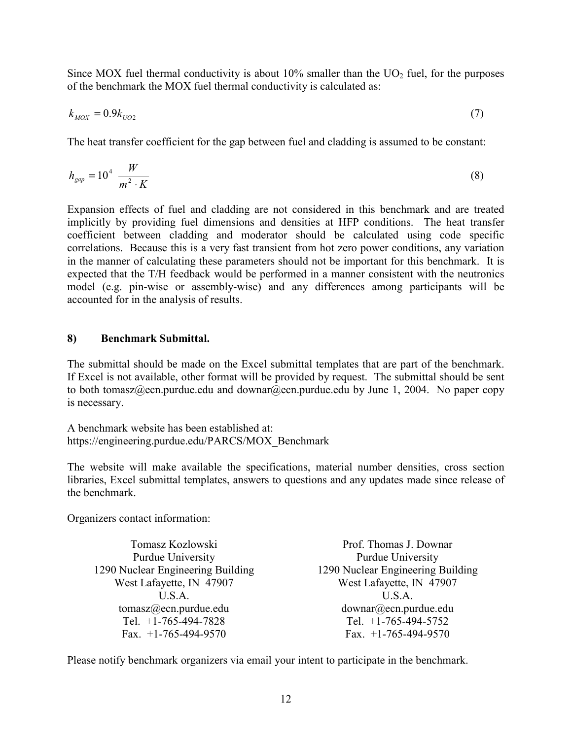Since MOX fuel thermal conductivity is about  $10\%$  smaller than the UO<sub>2</sub> fuel, for the purposes of the benchmark the MOX fuel thermal conductivity is calculated as:

$$
k_{MOX} = 0.9k_{UO2} \tag{7}
$$

The heat transfer coefficient for the gap between fuel and cladding is assumed to be constant:

$$
h_{gap} = 10^4 \frac{W}{m^2 \cdot K} \tag{8}
$$

Expansion effects of fuel and cladding are not considered in this benchmark and are treated implicitly by providing fuel dimensions and densities at HFP conditions. The heat transfer coefficient between cladding and moderator should be calculated using code specific correlations. Because this is a very fast transient from hot zero power conditions, any variation in the manner of calculating these parameters should not be important for this benchmark. It is expected that the T/H feedback would be performed in a manner consistent with the neutronics model (e.g. pin-wise or assembly-wise) and any differences among participants will be accounted for in the analysis of results.

#### **8) Benchmark Submittal.**

The submittal should be made on the Excel submittal templates that are part of the benchmark. If Excel is not available, other format will be provided by request. The submittal should be sent to both tomasz@ecn.purdue.edu and downar@ecn.purdue.edu by June 1, 2004. No paper copy is necessary.

A benchmark website has been established at: https://engineering.purdue.edu/PARCS/MOX\_Benchmark

The website will make available the specifications, material number densities, cross section libraries, Excel submittal templates, answers to questions and any updates made since release of the benchmark.

Organizers contact information:

Tomasz Kozlowski Purdue University 1290 Nuclear Engineering Building West Lafayette, IN 47907 U.S.A. tomasz@ecn.purdue.edu Tel. +1-765-494-7828 Fax.  $+1-765-494-9570$ 

Prof. Thomas J. Downar Purdue University 1290 Nuclear Engineering Building West Lafayette, IN 47907 U.S.A. downar@ecn.purdue.edu Tel. +1-765-494-5752 Fax. +1-765-494-9570

Please notify benchmark organizers via email your intent to participate in the benchmark.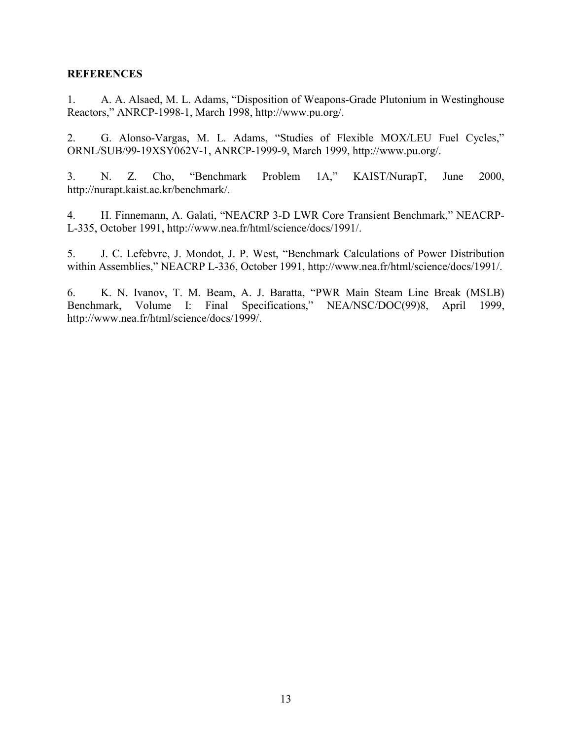#### **REFERENCES**

1. A. A. Alsaed, M. L. Adams, "Disposition of Weapons-Grade Plutonium in Westinghouse Reactors," ANRCP-1998-1, March 1998, http://www.pu.org/.

2. G. Alonso-Vargas, M. L. Adams, "Studies of Flexible MOX/LEU Fuel Cycles," ORNL/SUB/99-19XSY062V-1, ANRCP-1999-9, March 1999, http://www.pu.org/.

3. N. Z. Cho, "Benchmark Problem 1A," KAIST/NurapT, June 2000, http://nurapt.kaist.ac.kr/benchmark/.

4. H. Finnemann, A. Galati, "NEACRP 3-D LWR Core Transient Benchmark," NEACRP-L-335, October 1991, http://www.nea.fr/html/science/docs/1991/.

5. J. C. Lefebvre, J. Mondot, J. P. West, "Benchmark Calculations of Power Distribution within Assemblies," NEACRP L-336, October 1991, http://www.nea.fr/html/science/docs/1991/.

6. K. N. Ivanov, T. M. Beam, A. J. Baratta, "PWR Main Steam Line Break (MSLB) Benchmark, Volume I: Final Specifications," NEA/NSC/DOC(99)8, April 1999, http://www.nea.fr/html/science/docs/1999/.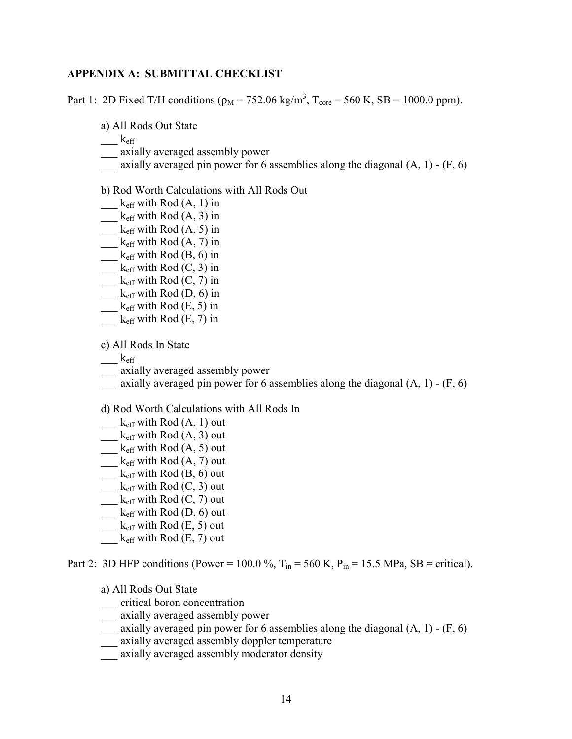#### **APPENDIX A: SUBMITTAL CHECKLIST**

Part 1: 2D Fixed T/H conditions ( $\rho_M = 752.06 \text{ kg/m}^3$ , T<sub>core</sub> = 560 K, SB = 1000.0 ppm).

a) All Rods Out State

 $\_\_\_\$  k<sub>eff</sub>

- \_\_\_ axially averaged assembly power
- axially averaged pin power for 6 assemblies along the diagonal  $(A, 1)$   $(F, 6)$

#### b) Rod Worth Calculations with All Rods Out

- $\frac{1}{\text{Left with Rod (A, 1)}$  in
- $\frac{\phantom{+}}{\phantom{+}}$  k<sub>eff</sub> with Rod  $(A, 3)$  in
- $\frac{1}{\text{Left with Rod (A, 5)}$  in
- $\frac{\text{K}_{\text{eff}}}{\text{K}_{\text{eff}}}$  with Rod (A, 7) in
- $\frac{\phantom{+}}{\phantom{+}}$  k<sub>eff</sub> with Rod  $(B, 6)$  in
- $\frac{\text{K}_{\text{eff}}}{\text{K}_{\text{eff}}}$  with Rod  $(C, 3)$  in
- $_k$ <sub>eff</sub> with Rod (C, 7) in
- $\frac{\phantom{+}}{\phantom{+}}$  k<sub>eff</sub> with Rod  $(D, 6)$  in
- $\frac{\phantom{+}}{\phantom{+}}$  k<sub>eff</sub> with Rod  $(E, 5)$  in
- $\frac{\text{K}}{\text{eff}}$  with Rod (E, 7) in

c) All Rods In State

- $k_{\text{eff}}$
- \_\_\_ axially averaged assembly power
- $\_\_$ axially averaged pin power for 6 assemblies along the diagonal (A, 1) (F, 6)

d) Rod Worth Calculations with All Rods In

- $\frac{1}{\text{Left with Rod (A, 1) out}}$
- $\frac{1}{\text{Left with Rod } (A, 3)}$  out
- $k_{\text{eff}}$  with Rod  $(A, 5)$  out
- $\frac{1}{\sqrt{2\pi}}$  k<sub>eff</sub> with Rod  $(A, 7)$  out
- $\frac{1}{\sqrt{2\pi}}$  k<sub>eff</sub> with Rod  $(B, 6)$  out
- $\frac{1}{\text{Left with Rod (C, 3) out}}$
- $\frac{1}{\text{Left}}$  with Rod (C, 7) out
- $\frac{1}{\sqrt{2}}$  k<sub>eff</sub> with Rod (D, 6) out
- $\frac{1}{\sqrt{2}}$  k<sub>eff</sub> with Rod (E, 5) out
- $_k$ <sub>eff</sub> with Rod (E, 7) out

Part 2: 3D HFP conditions (Power = 100.0 %,  $T_{in}$  = 560 K, P<sub>in</sub> = 15.5 MPa, SB = critical).

- a) All Rods Out State
- \_\_\_ critical boron concentration
- \_\_\_ axially averaged assembly power
- $\frac{1}{2}$  axially averaged pin power for 6 assemblies along the diagonal (A, 1) (F, 6)
- \_\_\_ axially averaged assembly doppler temperature
- \_\_\_ axially averaged assembly moderator density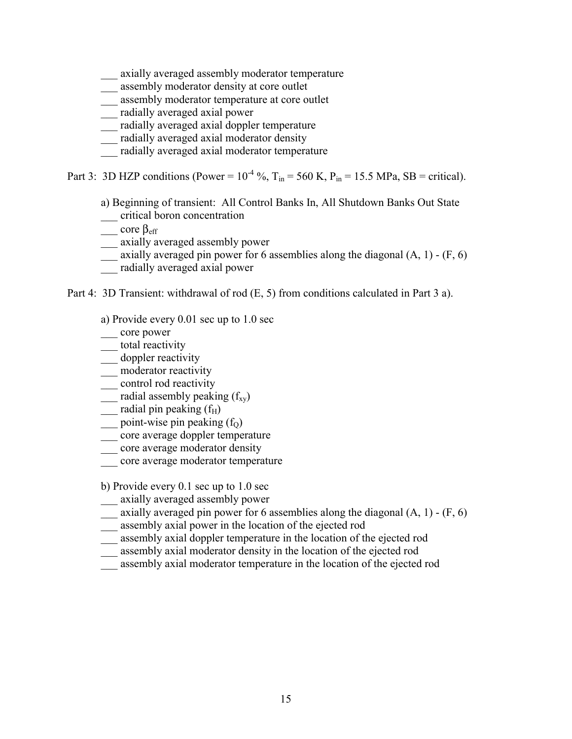axially averaged assembly moderator temperature

- \_\_\_ assembly moderator density at core outlet
- \_\_\_ assembly moderator temperature at core outlet
- \_\_\_ radially averaged axial power
- \_\_\_ radially averaged axial doppler temperature
- \_\_\_ radially averaged axial moderator density
- \_\_\_ radially averaged axial moderator temperature

Part 3: 3D HZP conditions (Power =  $10^{-4}$  %, T<sub>in</sub> = 560 K, P<sub>in</sub> = 15.5 MPa, SB = critical).

a) Beginning of transient: All Control Banks In, All Shutdown Banks Out State

- \_\_\_ critical boron concentration
- $\_\_$  core  $\beta_{\text{eff}}$
- \_\_\_ axially averaged assembly power
- $\frac{1}{2}$  axially averaged pin power for 6 assemblies along the diagonal (A, 1) (F, 6)
- \_\_\_ radially averaged axial power

Part 4: 3D Transient: withdrawal of rod (E, 5) from conditions calculated in Part 3 a).

- a) Provide every 0.01 sec up to 1.0 sec
- \_\_\_ core power
- \_\_\_ total reactivity
- \_\_\_ doppler reactivity
- \_\_\_ moderator reactivity
- \_\_\_ control rod reactivity
- $\frac{1}{\sqrt{2\pi}}$  radial assembly peaking (f<sub>xy</sub>)
- $\frac{1}{\sqrt{1 + \frac{1}{\sqrt{1 + \frac{1}{\sqrt{1 + \frac{1}{\sqrt{1 + \frac{1}{\sqrt{1 + \frac{1}{\sqrt{1 + \frac{1}{\sqrt{1 + \frac{1}{\sqrt{1 + \frac{1}{\sqrt{1 + \frac{1}{\sqrt{1 + \frac{1}{\sqrt{1 + \frac{1}{\sqrt{1 + \frac{1}{\sqrt{1 + \frac{1}{\sqrt{1 + \frac{1}{\sqrt{1 + \frac{1}{\sqrt{1 + \frac{1}{\sqrt{1 + \frac{1}{\sqrt{1 + \frac{1}{\sqrt{1 + \frac{1}{\sqrt{1 + \frac{1}{\sqrt{1 + \frac{1}{\sqrt{1 +$
- $\frac{1}{2}$  point-wise pin peaking (f<sub>0</sub>)
- core average doppler temperature
- \_\_\_ core average moderator density
- \_\_\_ core average moderator temperature

b) Provide every 0.1 sec up to 1.0 sec

- \_\_\_ axially averaged assembly power
- $\frac{1}{2}$  axially averaged pin power for 6 assemblies along the diagonal (A, 1) (F, 6)
- \_\_\_ assembly axial power in the location of the ejected rod
- \_\_\_ assembly axial doppler temperature in the location of the ejected rod
- \_\_\_ assembly axial moderator density in the location of the ejected rod
- \_\_\_ assembly axial moderator temperature in the location of the ejected rod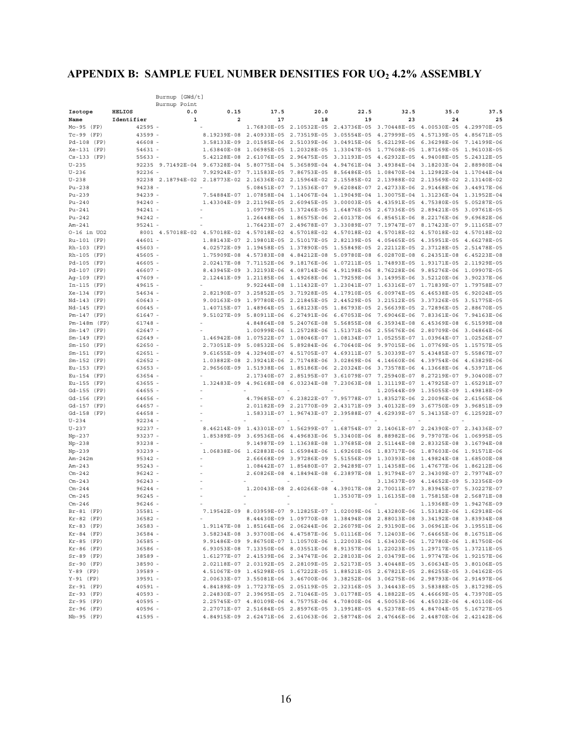# **APPENDIX B: SAMPLE FUEL NUMBER DENSITIES FOR UO2 4.2% ASSEMBLY**

|                                 |                        | Burnup [GWd/t]                                                                                       |                            |                         |                                     |                                                                                           |             |                                                    |             |
|---------------------------------|------------------------|------------------------------------------------------------------------------------------------------|----------------------------|-------------------------|-------------------------------------|-------------------------------------------------------------------------------------------|-------------|----------------------------------------------------|-------------|
|                                 |                        | Burnup Point                                                                                         |                            |                         |                                     |                                                                                           |             |                                                    |             |
| Isotope                         | <b>HELIOS</b>          | 0.0                                                                                                  | 0.15                       | 17.5                    | 20.0                                | 22.5                                                                                      | 32.5        | 35.0                                               | 37.5        |
| Name                            | Identifier             | 1                                                                                                    | 2                          | 17                      | 18                                  | 19                                                                                        | 23          | 24                                                 | 25          |
| $Mo-95$ (FP)                    | $42595 -$              |                                                                                                      |                            | 1.76830E-05             | 2.10532E-05                         | 2.43736E-05 3.70448E-05                                                                   |             | 4.00530E-05                                        | 4.29970E-05 |
| $Tc-99$ (FP)                    | $43599 -$              |                                                                                                      |                            | 8.19239E-08 2.40933E-05 | 2.73519E-05                         | 3.05554E-05 4.27999E-05                                                                   |             | 4.57139E-05                                        | 4.85671E-05 |
| Pd-108 (FP)                     | $46608 -$              |                                                                                                      | 3.58133E-09                | 2.01585E-06             | 2.51039E-06                         | 3.04915E-06                                                                               | 5.62129E-06 | 6.36298E-06                                        | 7.14199E-06 |
| $Xe-131$ (FP)                   | $54631 -$              |                                                                                                      | 1.63840E-08                | 1.06985E-05             | 1.20328E-05                         | 1.33047E-05 1.77608E-05                                                                   |             | 1.87169E-05<br>4.94008E-05 5.24312E-05             | 1.96103E-05 |
| $Cs-133$ (FP)<br>$U - 235$      | $55633 -$              | 92235 9.71492E-04                                                                                    | 5.42128E-08<br>9.67328E-04 | 2.61076E-05             |                                     | 2.96475E-05 3.31193E-05 4.62932E-05<br>5.80775E-04 5.36589E-04 4.94761E-04 3.49384E-04    |             | 3.18203E-04 2.88980E-04                            |             |
| $U - 236$                       | $92236 -$              |                                                                                                      | 7.92924E-07                | 7.11583E-05             | 7.86753E-05                         | 8.56486E-05 1.08470E-04                                                                   |             | 1.12982E-04 1.17044E-04                            |             |
| $U - 238$                       |                        | 92238 2.18794E-02 2.18773E-02 2.16336E-02 2.15964E-02 2.15585E-02 2.13988E-02                        |                            |                         |                                     |                                                                                           |             | 2.13569E-02 2.13140E-02                            |             |
| $Pu-238$                        | 94238                  |                                                                                                      |                            | 5.08451E-07             | 7.13536E-07                         | 9.62084E-07                                                                               | 2.42733E-06 | 2.91468E-06                                        | 3.44917E-06 |
| $Pu-239$                        | $94239 -$              |                                                                                                      | 7.54884E-07                |                         |                                     | 1.07858E-04 1.14067E-04 1.19049E-04 1.30075E-04 1.31236E-04 1.31952E-04                   |             |                                                    |             |
| $Pu-240$                        | $94240 -$              |                                                                                                      |                            | 1.43304E-09 2.21196E-05 |                                     | 2.60945E-05 3.00003E-05 4.43591E-05                                                       |             | 4.75380E-05 5.05287E-05                            |             |
| $Pu-241$                        | $94241 -$              |                                                                                                      |                            | 1.09779E-05             | 1.37246E-05                         | 1.64876E-05 2.67336E-05                                                                   |             | 2.89421E-05                                        | 3.09761E-05 |
| $Pu-242$                        | $94242 -$              |                                                                                                      |                            |                         |                                     | 1.26448E-06 1.86575E-06 2.60137E-06 6.85451E-06                                           |             | 8.22176E-06 9.69682E-06                            |             |
| $Am-241$                        | $95241 -$              |                                                                                                      |                            |                         |                                     | 1.76423E-07 2.49678E-07 3.33089E-07 7.19747E-07                                           |             | 8.17423E-07 9.11165E-07                            |             |
| 0-16 in UO2                     |                        | 8001 4.57018E-02 4.57018E-02 4.57018E-02 4.57018E-02 4.57018E-02 4.57018E-02 4.57018E-02 4.57018E-02 |                            |                         |                                     |                                                                                           |             |                                                    |             |
| Ru-101 (FP)                     | $44601 -$              |                                                                                                      | 1.88143E-07                |                         |                                     | 2.19801E-05 2.51017E-05 2.82139E-05 4.05465E-05                                           |             | 4.35951E-05 4.66278E-05                            |             |
| Rh-103 (FP)                     | $45603 -$              |                                                                                                      | 4.02572E-09                | 1.19458E-05             |                                     | 1.37890E-05 1.55849E-05 2.22112E-05                                                       |             | 2.37128E-05 2.51478E-05                            |             |
| Rh-105 (FP)                     | $45605 -$              |                                                                                                      | 1.75909E-08                | 4.57383E-08             | 4.84212E-08                         | 5.09780E-08                                                                               | 6.02870E-08 | 6.24351E-08                                        | 6.45223E-08 |
| Pd-105 (FP)                     | $46605 -$              |                                                                                                      | 2.02417E-08                | 7.71152E-06             | 9.18176E-06                         | 1.07211E-05                                                                               | 1.74893E-05 | 1.93171E-05 2.11929E-05                            |             |
| Pd-107 (FP)                     | $46607 -$              |                                                                                                      | 8.43945E-09                | 3.32193E-06             |                                     | 4.08714E-06 4.91198E-06 8.76228E-06                                                       |             | 9.85276E-06 1.09907E-05                            |             |
| Aq-109 (FP)                     | $47609 -$              |                                                                                                      | 2.12441E-09                | 1.21185E-06             | 1.49268E-06                         | 1.79259E-06                                                                               | 3.14995E-06 | 3.52120E-06                                        | 3.90237E-06 |
| In-115<br>(FP)                  | $49615 -$              |                                                                                                      |                            | 9.92244E-08             | 1.11432E-07                         | 1.23041E-07 1.63316E-07                                                                   |             | 1.71839E-07                                        | 1.79758E-07 |
| $Xe-134$ (FP)                   | $54634 -$              |                                                                                                      |                            |                         |                                     | 2.82190E-07 3.25852E-05 3.71928E-05 4.17910E-05 6.00974E-05                               |             | 6.46538E-05 6.92024E-05                            |             |
| Nd-143 (FP)                     | $60643 -$              |                                                                                                      | 9.00163E-09                | 1.97780E-05             | 2.21845E-05                         | 2.44529E-05                                                                               | 3.21512E-05 | 3.37326E-05                                        | 3.51775E-05 |
| Nd-145 (FP)                     | $60645 -$              |                                                                                                      | 1.40715E-07                | 1.48964E-05             | 1.68123E-05                         | 1.86793E-05                                                                               | 2.56639E-05 | 2.72896E-05                                        | 2.88670E-05 |
| $Pm-147$ (FP)                   | $61647 -$              |                                                                                                      | 9.51027E-09                |                         |                                     | 5.80911E-06  6.27491E-06  6.67053E-06  7.69046E-06                                        |             | 7.83361E-06 7.94163E-06<br>6.45369E-08 6.51599E-08 |             |
| $Pm-148m$ (FP)<br>$Sm-147$ (FP) | 61748 -<br>$62647 -$   |                                                                                                      |                            | 4.84864E-08             | 5.24076E-08                         | 5.56855E-08 6.35934E-08<br>1.00999E-06 1.25728E-06 1.51371E-06 2.55676E-06                |             | 2.80709E-06 3.04864E-06                            |             |
| $Sm-149$ (FP)                   | $62649 -$              |                                                                                                      |                            |                         |                                     | 1.46942E-08 1.07522E-07 1.08046E-07 1.08134E-07 1.05255E-07 1.03964E-07 1.02526E-07       |             |                                                    |             |
| $Sm-150$ (FP)                   | $62650 -$              |                                                                                                      | 2.73051E-09                | 5.08532E-06             | 5.89284E-06                         | 6.70640E-06                                                                               | 9.97015E-06 | 1.07769E-05                                        | 1.15757E-05 |
| $Sm-151$ (FP)                   | $62651 -$              |                                                                                                      | 9.61655E-09                |                         |                                     | 4.32940E-07 4.51705E-07 4.69311E-07 5.30339E-07                                           |             | 5.43485E-07 5.55867E-07                            |             |
| $Sm-152$ (FP)                   | $62652 -$              |                                                                                                      | 1.03882E-08                | 2.39241E-06             | 2.71748E-06                         | 3.02869E-06 4.14660E-06                                                                   |             | 4.39754E-06 4.63829E-06                            |             |
| Eu-153<br>(FP)                  | $63653 -$              |                                                                                                      | 2.96560E-09                | 1.51938E-06             | 1.85186E-06                         | 2.20324E-06                                                                               | 3.73578E-06 | 4.13668E-06                                        | 4.53971E-06 |
| Eu-154 (FP)                     | $63654 -$              |                                                                                                      |                            | 2.17340E-07             |                                     | 2.85195E-07 3.61079E-07 7.25940E-07                                                       |             | 8.27219E-07 9.30400E-07                            |             |
| Eu-155 (FP)                     | $63655 -$              |                                                                                                      | 1.32483E-09                | 4.96168E-08             | 6.03234E-08                         | 7.23063E-08 1.31119E-07                                                                   |             | 1.47925E-07 1.65291E-07                            |             |
| Gd-155<br>(FP)                  | $64655 -$              |                                                                                                      |                            |                         |                                     |                                                                                           | 1.20544E-09 | 1.35055E-09 1.49818E-09                            |             |
| Gd-156 (FP)                     | 64656 -                |                                                                                                      |                            |                         |                                     | 4.79685E-07    6.23822E-07    7.95778E-07    1.83527E-06                                  |             | 2.20096E-06 2.61565E-06                            |             |
| Gd-157 (FP)                     | $64657 -$              |                                                                                                      |                            | 2.01182E-09             | 2.21770E-09                         | 2.43171E-09                                                                               | 3.40132E-09 | 3.67750E-09                                        | 3.96851E-09 |
| Gd-158<br>(FP)                  | $64658 -$              |                                                                                                      |                            |                         | 1.58331E-07 1.96743E-07 2.39588E-07 |                                                                                           | 4.62939E-07 | 5.34135E-07 6.12592E-07                            |             |
| $U - 234$                       | $92234 -$              |                                                                                                      |                            |                         |                                     |                                                                                           |             |                                                    |             |
| $U - 237$                       | $92237 -$              |                                                                                                      | 8.46214E-09                |                         |                                     | 1.43301E-07 1.56299E-07 1.68754E-07 2.14061E-07 2.24390E-07 2.34336E-07                   |             |                                                    |             |
| $Np-237$                        | $93237 -$              |                                                                                                      | 1.85389E-09                | 3.69536E-06             |                                     | 4.49683E-06 5.33400E-06 8.88982E-06                                                       |             | 9.79707E-06 1.06995E-05                            |             |
| $Np-238$                        | $93238 -$              |                                                                                                      |                            |                         | 9.14987E-09 1.13638E-08 1.37685E-08 |                                                                                           | 2.51144E-08 | 2.83325E-08                                        | 3.16794E-08 |
| $Np-239$                        | $93239 -$              |                                                                                                      |                            | 1.06838E-06 1.62883E-06 | 1.65984E-06                         | 1.69260E-06                                                                               | 1.83717E-06 | 1.87603E-06                                        | 1.91571E-06 |
| Am-242m                         | $95342 -$              |                                                                                                      |                            | 2.66668E-09             | 3.97286E-09                         | 5.51556E-09                                                                               | 1.30393E-08 | 1.49824E-08                                        | 1.68500E-08 |
| $Am-243$                        | $95243 -$              |                                                                                                      |                            |                         | 1.08442E-07 1.85480E-07             | 2.94289E-07 1.14358E-06                                                                   |             | 1.47677E-06 1.86212E-06                            |             |
| $Cm - 242$<br>$Cm - 243$        | $96242 -$<br>$96243 -$ |                                                                                                      |                            | 2.60826E-08             | 4.18494E-08                         | 6.23897E-08 1.91794E-07                                                                   | 3.13637E-09 | 2.34309E-07 2.79774E-07<br>4.14652E-09             | 5.32356E-09 |
| $Cm - 244$                      | $96244 -$              |                                                                                                      |                            |                         |                                     | 1.20043E-08 2.40266E-08 4.39017E-08 2.70011E-07 3.83945E-07 5.30227E-07                   |             |                                                    |             |
| $Cm - 245$                      | $96245 -$              |                                                                                                      |                            |                         |                                     |                                                                                           |             | 1.35307E-09 1.16135E-08 1.75815E-08 2.56871E-08    |             |
| $Cm - 246$                      | $96246 -$              |                                                                                                      |                            |                         |                                     |                                                                                           |             | 1.19368E-09 1.94276E-09                            |             |
| $Br-81$<br>(FP)                 | $35581 -$              |                                                                                                      | 7.19542E-09                | 8.03959E-07             |                                     | 9.12825E-07 1.02009E-06 1.43280E-06 1.53182E-06 1.62918E-06                               |             |                                                    |             |
| $Kr-82$ (FP)                    | $36582 -$              |                                                                                                      |                            |                         |                                     | 8.44430E-09 1.09770E-08 1.38494E-08 2.88013E-08 3.34192E-08 3.83934E-08                   |             |                                                    |             |
| $Kr-83$ (FP)                    | $36583 -$              |                                                                                                      |                            |                         |                                     | 1.91147E-08 1.85164E-06 2.06244E-06 2.26079E-06 2.93190E-06 3.06961E-06 3.19551E-06       |             |                                                    |             |
| $Kr-84$ (FP)                    | $36584 -$              |                                                                                                      |                            |                         |                                     | 3.58234E-08 3.93700E-06 4.47587E-06 5.01116E-06 7.12403E-06 7.64665E-06 8.16751E-06       |             |                                                    |             |
| $Kr-85$ (FP)                    | $36585 -$              |                                                                                                      |                            |                         |                                     | 9.91486E-09  9.86750E-07  1.10570E-06  1.22003E-06  1.63430E-06  1.72780E-06  1.81750E-06 |             |                                                    |             |
| $Kr-86$ (FP)                    | $36586 -$              |                                                                                                      |                            |                         |                                     | 6.93053E-08 7.13350E-06 8.03551E-06 8.91357E-06 1.22023E-05 1.29717E-05 1.37211E-05       |             |                                                    |             |
| $Sr-89$ (FP)                    | $38589 -$              |                                                                                                      |                            |                         |                                     | 1.61277E-07 2.41539E-06 2.34747E-06 2.28103E-06 2.03479E-06 1.97747E-06 1.92157E-06       |             |                                                    |             |
| $Sr-90$ (FP)                    | $38590 -$              |                                                                                                      |                            |                         |                                     | 2.02118E-07 2.03192E-05 2.28109E-05 2.52173E-05 3.40448E-05 3.60634E-05 3.80106E-05       |             |                                                    |             |
| $Y-89$ (FP)                     | $39589 -$              |                                                                                                      |                            |                         |                                     | 4.51067E-09 1.45298E-05 1.67222E-05 1.88521E-05 2.67821E-05 2.86255E-05 3.04162E-05       |             |                                                    |             |
| $Y-91$ (FP)                     | $39591 -$              |                                                                                                      |                            |                         |                                     | 2.00633E-07 3.55081E-06 3.46700E-06 3.38252E-06 3.06275E-06 2.98793E-06 2.91497E-06       |             |                                                    |             |
| $Zr-91$ (FP)                    | $40591 -$              |                                                                                                      |                            |                         |                                     | 4.84189E-09 1.77237E-05 2.05119E-05 2.32316E-05 3.34443E-05 3.58388E-05 3.81729E-05       |             |                                                    |             |
| $Zr-93$ (FP)                    | $40593 -$              |                                                                                                      |                            |                         |                                     | 2.24830E-07 2.39695E-05 2.71046E-05 3.01778E-05 4.18822E-05 4.46669E-05 4.73970E-05       |             |                                                    |             |
| $Zr-95$ (FP)                    | $40595 -$              |                                                                                                      |                            |                         |                                     | 2.25745E-07 4.80109E-06 4.75775E-06 4.70800E-06 4.50053E-06 4.45032E-06 4.40110E-06       |             |                                                    |             |
| $Zr-96$ (FP)                    | $40596 -$              |                                                                                                      |                            |                         |                                     | 2.27071E-07 2.51684E-05 2.85976E-05 3.19918E-05 4.52378E-05 4.84704E-05 5.16727E-05       |             |                                                    |             |
| Nb-95 (FP)                      | $41595 -$              |                                                                                                      |                            |                         |                                     | 4.84915E-09 2.62471E-06 2.61063E-06 2.58774E-06 2.47646E-06 2.44870E-06 2.42142E-06       |             |                                                    |             |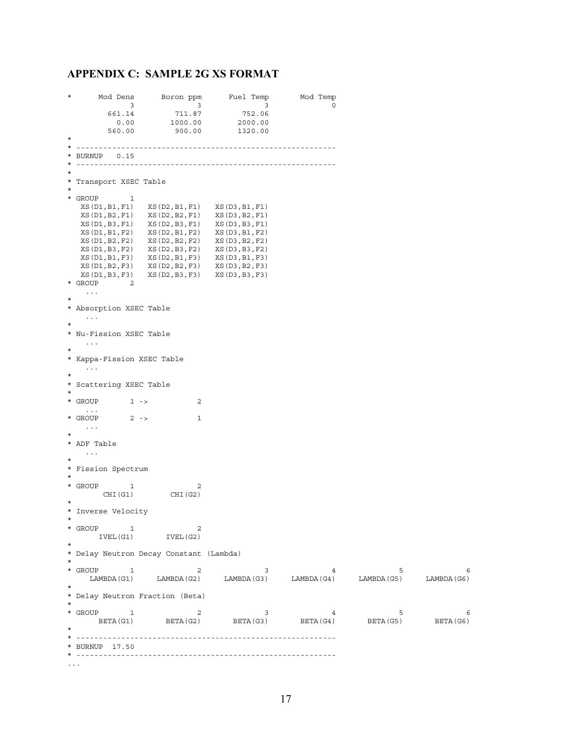### **APPENDIX C: SAMPLE 2G XS FORMAT**

% Mod Dens Boron ppm Fuel Temp Mod Temp 3 3 3 0<br>661.14 711.87 752.06 3 3 3 0 661.14 711.87 752.06 0.00 1000.00 2000.00 560.00 900.00 1320.00 \* \* ---------------------------------------------------------- \* BURNUP 0.15 \* ---------------------------------------------------------- \* \* Transport XSEC Table \*  $*$  GROUP 1 XS(D1,B1,F1) XS(D2,B1,F1) XS(D3,B1,F1) XS(D1,B2,F1) XS(D2,B2,F1) XS(D3,B2,F1) XS(D1,B3,F1) XS(D2,B3,F1) XS(D3,B3,F1) XS(D1,B1,F2) XS(D2,B1,F2) XS(D3,B1,F2) XS(D1,B2,F2) XS(D2,B2,F2) XS(D3,B2,F2) XS(D1,B3,F2) XS(D2,B3,F2) XS(D3,B3,F2) XS(D1,B1,F3) XS(D2,B1,F3) XS(D3,B1,F3) XS(D1,B2,F3) XS(D2,B2,F3) XS(D3,B2,F3) XS(D1,B3,F3) XS(D2,B3,F3) XS(D3,B3,F3) \* GROUP 2 ... \* \* Absorption XSEC Table ... \* \* Nu-Fission XSEC Table . . . . . . \* \* Kappa-Fission XSEC Table ... \* \* Scattering XSEC Table \* \* GROUP 1 -> 2 \* GROUP 2 -> 1 ... \* \* ADF Table ... \* \* Fission Spectrum \* \* GROUP 1 2 CHI(G1) CHI(G2) \* \* Inverse Velocity \*  $\begin{array}{ccccc} \texttt{GROUP} & & 1 & & 2 \\ & & \texttt{IVEL (G1)} & & \texttt{IVEL (G2)} \end{array}$ IVEL(G1) \* \* Delay Neutron Decay Constant (Lambda) \* \* GROUP 1 2 3 4 5 6 LAMBDA(G1) LAMBDA(G2) LAMBDA(G3) LAMBDA(G4) LAMBDA(G5) LAMBDA(G6) \* \* Delay Neutron Fraction (Beta) \* \* GROUP 1 2 3 4 5 6 BETA(G1) BETA(G2) BETA(G3) BETA(G4) BETA(G5) BETA(G6) \* \* ---------------------------------------------------------- \* BURNUP 17.50 \* ---------------------------------------------------------- ...